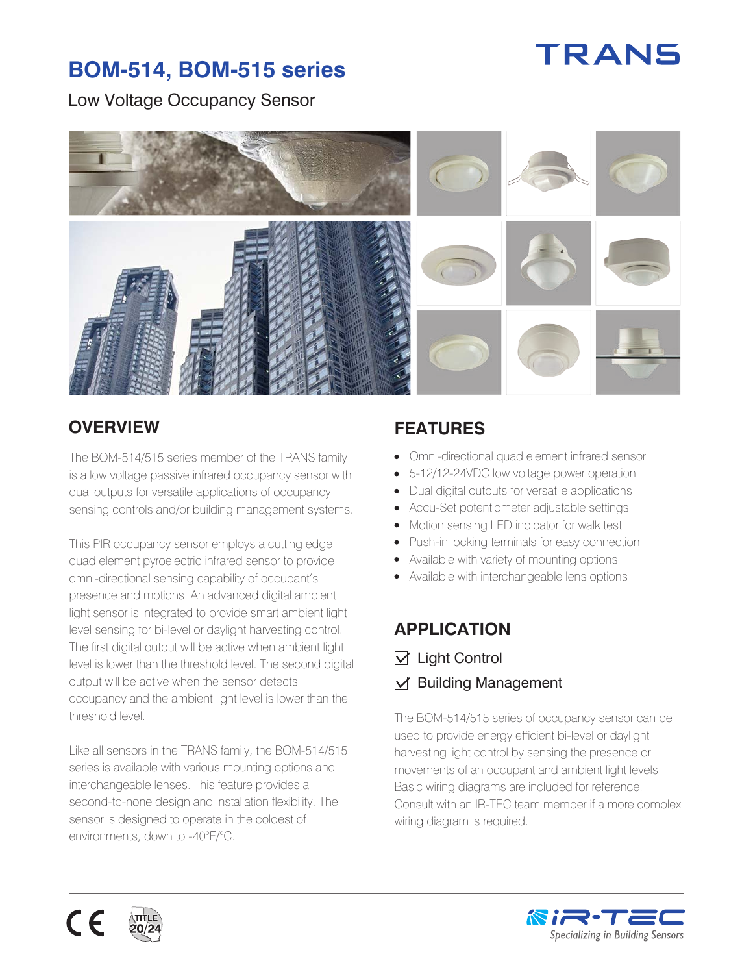# TRANS

## **BOM-514, BOM-515 series**

#### Low Voltage Occupancy Sensor



### **OVERVIEW FEATURES**

The BOM-514/515 series member of the TRANS family is a low voltage passive infrared occupancy sensor with dual outputs for versatile applications of occupancy sensing controls and/or building management systems.

This PIR occupancy sensor employs a cutting edge quad element pyroelectric infrared sensor to provide omni-directional sensing capability of occupant's presence and motions. An advanced digital ambient light sensor is integrated to provide smart ambient light level sensing for bi-level or daylight harvesting control. The first digital output will be active when ambient light level is lower than the threshold level. The second digital output will be active when the sensor detects occupancy and the ambient light level is lower than the threshold level.

Like all sensors in the TRANS family, the BOM-514/515 series is available with various mounting options and interchangeable lenses. This feature provides a second-to-none design and installation flexibility. The sensor is designed to operate in the coldest of environments, down to -40°F/°C.

- Omni-directional quad element infrared sensor
- 5-12/12-24VDC low voltage power operation  $\bullet$
- Dual digital outputs for versatile applications
- Accu-Set potentiometer adjustable settings
- $\bullet$ Motion sensing LED indicator for walk test
- Push-in locking terminals for easy connection
- Available with variety of mounting options
- Available with interchangeable lens options

### **APPLICATION**

- $\nabla$  Light Control
- $\triangledown$  Building Management

The BOM-514/515 series of occupancy sensor can be used to provide energy efficient bi-level or daylight harvesting light control by sensing the presence or movements of an occupant and ambient light levels. Basic wiring diagrams are included for reference. Consult with an IR-TEC team member if a more complex wiring diagram is required.